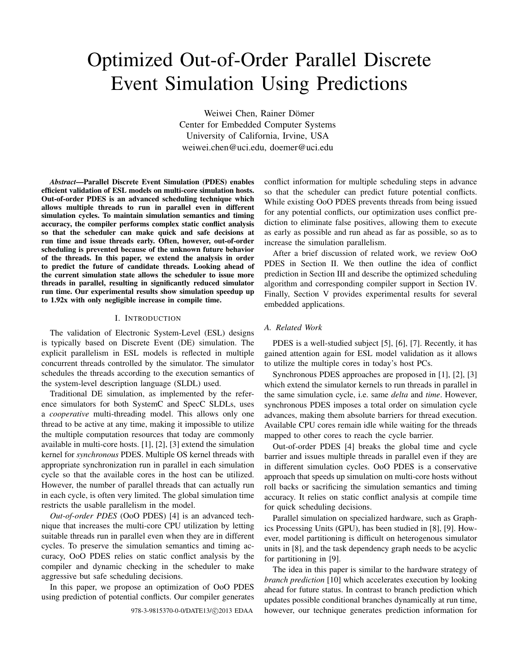# Optimized Out-of-Order Parallel Discrete Event Simulation Using Predictions

Weiwei Chen, Rainer Dömer Center for Embedded Computer Systems University of California, Irvine, USA weiwei.chen@uci.edu, doemer@uci.edu

*Abstract***—Parallel Discrete Event Simulation (PDES) enables efficient validation of ESL models on multi-core simulation hosts. Out-of-order PDES is an advanced scheduling technique which allows multiple threads to run in parallel even in different simulation cycles. To maintain simulation semantics and timing accuracy, the compiler performs complex static conflict analysis so that the scheduler can make quick and safe decisions at run time and issue threads early. Often, however, out-of-order scheduling is prevented because of the unknown future behavior of the threads. In this paper, we extend the analysis in order to predict the future of candidate threads. Looking ahead of the current simulation state allows the scheduler to issue more threads in parallel, resulting in significantly reduced simulator run time. Our experimental results show simulation speedup up to 1.92x with only negligible increase in compile time.**

## I. INTRODUCTION

The validation of Electronic System-Level (ESL) designs is typically based on Discrete Event (DE) simulation. The explicit parallelism in ESL models is reflected in multiple concurrent threads controlled by the simulator. The simulator schedules the threads according to the execution semantics of the system-level description language (SLDL) used.

Traditional DE simulation, as implemented by the reference simulators for both SystemC and SpecC SLDLs, uses a *cooperative* multi-threading model. This allows only one thread to be active at any time, making it impossible to utilize the multiple computation resources that today are commonly available in multi-core hosts. [1], [2], [3] extend the simulation kernel for *synchronous* PDES. Multiple OS kernel threads with appropriate synchronization run in parallel in each simulation cycle so that the available cores in the host can be utilized. However, the number of parallel threads that can actually run in each cycle, is often very limited. The global simulation time restricts the usable parallelism in the model.

*Out-of-order PDES* (OoO PDES) [4] is an advanced technique that increases the multi-core CPU utilization by letting suitable threads run in parallel even when they are in different cycles. To preserve the simulation semantics and timing accuracy, OoO PDES relies on static conflict analysis by the compiler and dynamic checking in the scheduler to make aggressive but safe scheduling decisions.

In this paper, we propose an optimization of OoO PDES using prediction of potential conflicts. Our compiler generates conflict information for multiple scheduling steps in advance so that the scheduler can predict future potential conflicts. While existing OoO PDES prevents threads from being issued for any potential conflicts, our optimization uses conflict prediction to eliminate false positives, allowing them to execute as early as possible and run ahead as far as possible, so as to increase the simulation parallelism.

After a brief discussion of related work, we review OoO PDES in Section II. We then outline the idea of conflict prediction in Section III and describe the optimized scheduling algorithm and corresponding compiler support in Section IV. Finally, Section V provides experimental results for several embedded applications.

## *A. Related Work*

PDES is a well-studied subject [5], [6], [7]. Recently, it has gained attention again for ESL model validation as it allows to utilize the multiple cores in today's host PCs.

Synchronous PDES approaches are proposed in [1], [2], [3] which extend the simulator kernels to run threads in parallel in the same simulation cycle, i.e. same *delta* and *time*. However, synchronous PDES imposes a total order on simulation cycle advances, making them absolute barriers for thread execution. Available CPU cores remain idle while waiting for the threads mapped to other cores to reach the cycle barrier.

Out-of-order PDES [4] breaks the global time and cycle barrier and issues multiple threads in parallel even if they are in different simulation cycles. OoO PDES is a conservative approach that speeds up simulation on multi-core hosts without roll backs or sacrificing the simulation semantics and timing accuracy. It relies on static conflict analysis at compile time for quick scheduling decisions.

Parallel simulation on specialized hardware, such as Graphics Processing Units (GPU), has been studied in [8], [9]. However, model partitioning is difficult on heterogenous simulator units in [8], and the task dependency graph needs to be acyclic for partitioning in [9].

The idea in this paper is similar to the hardware strategy of *branch prediction* [10] which accelerates execution by looking ahead for future status. In contrast to branch prediction which updates possible conditional branches dynamically at run time, 978-3-9815370-0-0/DATE13/©2013 EDAA however, our technique generates prediction information for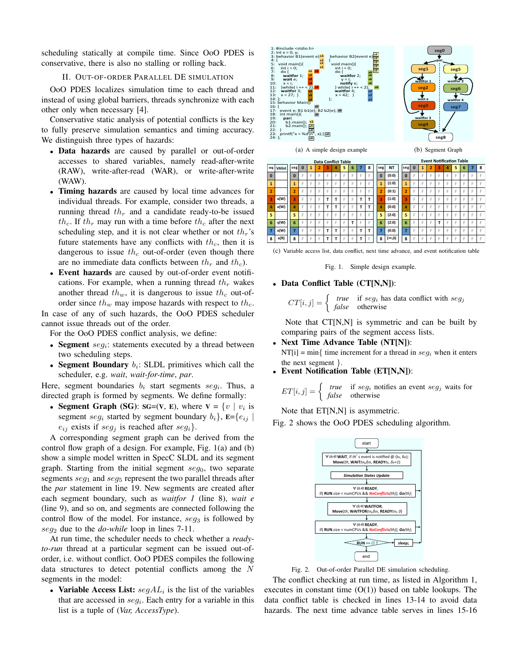scheduling statically at compile time. Since OoO PDES is conservative, there is also no stalling or rolling back.

#### II. OUT-OF-ORDER PARALLEL DE SIMULATION

OoO PDES localizes simulation time to each thread and instead of using global barriers, threads synchronize with each other only when necessary [4].

Conservative static analysis of potential conflicts is the key to fully preserve simulation semantics and timing accuracy. We distinguish three types of hazards:

- **Data hazards** are caused by parallel or out-of-order accesses to shared variables, namely read-after-write (RAW), write-after-read (WAR), or write-after-write (WAW).
- **Timing hazards** are caused by local time advances for individual threads. For example, consider two threads, a running thread  $th_r$  and a candidate ready-to-be issued  $th_c$ . If  $th_r$  may run with a time before  $th_c$  after the next scheduling step, and it is not clear whether or not  $th_r$ 's future statements have any conflicts with  $th_c$ , then it is dangerous to issue  $th_c$  out-of-order (even though there are no immediate data conflicts between  $th_r$  and  $th_c$ ).
- **Event hazards** are caused by out-of-order event notifications. For example, when a running thread  $th_r$  wakes another thread  $th_w$ , it is dangerous to issue  $th_c$  out-oforder since  $th_w$  may impose hazards with respect to  $th_c$ . In case of any of such hazards, the OoO PDES scheduler

cannot issue threads out of the order.

For the OoO PDES conflict analysis, we define:

- $\bullet$  **Segment**  $seg_i$ : statements executed by a thread between two scheduling steps.
- **Segment Boundary**  $b_i$ : SLDL primitives which call the scheduler, e.g. *wait*, *wait-for-time*, *par*.

Here, segment boundaries  $b_i$  start segments  $seg_i$ . Thus, a directed graph is formed by segments. We define formally:

• **Segment Graph (SG):**  $SG=(V, E)$ **, where**  $V = \{v \mid v_i \text{ is }$ segment seg<sub>i</sub> started by segment boundary  $b_i$ ,  $\mathbf{E} = \{e_{ij}$  $e_{ij}$  exists if  $seg_j$  is reached after  $seg_i$ .

A corresponding segment graph can be derived from the control flow graph of a design. For example, Fig. 1(a) and (b) show a simple model written in SpecC SLDL and its segment graph. Starting from the initial segment  $seg<sub>0</sub>$ , two separate segments  $seg_1$  and  $seg_5$  represent the two parallel threads after the *par* statement in line 19. New segments are created after each segment boundary, such as *waitfor 1* (line 8), *wait e* (line 9), and so on, and segments are connected following the control flow of the model. For instance,  $seg_3$  is followed by  $seg_2$  due to the *do-while* loop in lines 7-11.

At run time, the scheduler needs to check whether a *readyto-run* thread at a particular segment can be issued out-oforder, i.e. without conflict. OoO PDES compiles the following data structures to detect potential conflicts among the N segments in the model:

• Variable Access List:  $segAL_i$  is the list of the variables that are accessed in  $seg_i$ . Each entry for a variable in this list is a tuple of (*Var, AccessType*).



 $\left| \right|$  **8**  $\left| \right|$  **0 8** | F | F | F | F | F | F | F | F **<u>\*** | F | F | F | F | F | F | F | F</u> <mark>2</mark> | E | E | E | E | E | E | E | E **(\$** !" !" !" **.\$ .\$** !" !" **.\$ .\$ )\$** !" !" !" **.\$ .\$** !" !" **.\$ .\$** <mark>\*</mark> | F | F | F | F | F | F | F | F **+\$** !" !" !" !" !" !" **.\$** !" !" **,\$** !" !" !" **.\$ .\$** !" !" **.\$ .\$ -\$** !" !" !" **.\$ .\$** !" !" **.\$** !"  $\mathsf{sg}$  *VAlist* **%\$ &\$ '\$ (\$ 4567\$ )\$ 4567\$ \*\$ 6 y**(W) **7 x**(W) **8**  $\times$  **(R) .eg** NT **0** (0:0)  $(1:0)$  $(0:1)$  $(1:0)$ **)\$ 5%;%7\$**  $\overline{5}$  (2:0)  $\frac{1}{6}$  (2:0) **7** (0:0) **8** (∞,0) **15 6 8** | F | F | F | F | F | F | F | F **<u>\*** | F | F | F | F | F | F | F | F</u> <mark>2</mark> | E | E | E | E | E | E | E | E <mark>3</mark> | F | F | F | F | F | F | F | F <mark>4</mark> | E | E | E | E | E | E | E | E <mark>\*</mark> | F | F | F | F | F | F | F | F **+\$** !" !" !" **.\$** !" !" !" !" !" <mark>7</mark> | E | E | E | E | E | E | E | E **8** | F | F | F | F | F | F | F | F **Data Conflict Table 1988 Conflict Table Conflict Table FGS Event Notification Table** 

(c) Variable access list, data conflict, next time advance, and event notification table

Fig. 1. Simple design example.

# • **Data Conflict Table (CT[N,N])**:

$$
CT[i, j] = \begin{cases} \n\text{true} & \text{if } seg_i \text{ has data conflict with } seg_j \\
\text{false} & \text{otherwise}\n\end{cases}
$$

Note that CT[N,N] is symmetric and can be built by comparing pairs of the segment access lists.

- **Next Time Advance Table (NT[N])**: NT[i] = min{ time increment for a thread in  $seg_i$  when it enters the next segment }.
- **Event Notification Table (ET[N,N])**:

 $ET[i, j] = \begin{cases} true & \text{if } seg_i \text{ notifies an event } seg_j \text{ waits for} \\ false & \text{otherwise} \end{cases}$ *false* otherwise

Note that ET[N,N] is asymmetric.

Fig. 2 shows the OoO PDES scheduling algorithm.



Fig. 2. Out-of-order Parallel DE simulation scheduling.

The conflict checking at run time, as listed in Algorithm 1, executes in constant time  $(O(1))$  based on table lookups. The data conflict table is checked in lines 13-14 to avoid data hazards. The next time advance table serves in lines 15-16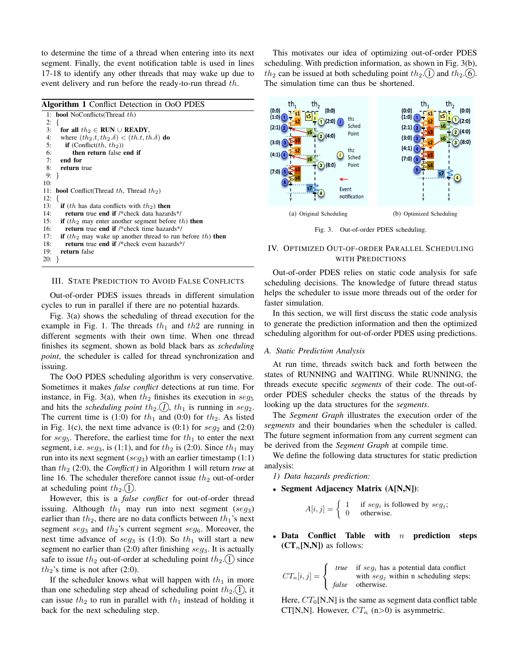to determine the time of a thread when entering into its next segment. Finally, the event notification table is used in lines 17-18 to identify any other threads that may wake up due to event delivery and run before the ready-to-run thread th.

**Algorithm 1** Conflict Detection in OoO PDES 1: **bool** NoConflicts(Thread th)  $2: 3: 3:$ 3: **for all**  $th_2 \in$  **RUN** ∪ **READY**,<br>4: where  $(th_2.t. th_2.\delta) < (th.t. th)$ 4: where  $(th_2.t, th_2.\delta) < (th.t, th.\delta)$  **do**<br>5: **if** (Conflict(th, th<sub>2</sub>)) if  $($ Conflict $(th, th<sub>2</sub>)$ ) 6: **then return** false **end if** 7: **end for** 8: **return** true 9: } 10: 11: **bool** Conflict(Thread th, Thread th<sub>2</sub>)  $12:$ 13: **if** (th has data conflicts with  $th_2$ ) **then**<br>14: **return** true **end if** /\*check data hazard 14: **return** true **end if** /\*check data hazards\*/ 15: **if**  $(th_2$  may enter another segment before th) **then** 16: **return** true **end if** /\*check time hazards\*/<br>17: **if**  $(th_2$  may wake up another thread to run if  $(th_2$  may wake up another thread to run before  $th$ ) then 18: **return** true **end if** /\*check event hazards\*/ 19: **return** false 20: }

III. STATE PREDICTION TO AVOID FALSE CONFLICTS

Out-of-order PDES issues threads in different simulation cycles to run in parallel if there are no potential hazards.

Fig. 3(a) shows the scheduling of thread execution for the example in Fig. 1. The threads  $th_1$  and  $th_2$  are running in different segments with their own time. When one thread finishes its segment, shown as bold black bars as *scheduling point*, the scheduler is called for thread synchronization and issuing.

The OoO PDES scheduling algorithm is very conservative. Sometimes it makes *false conflict* detections at run time. For instance, in Fig. 3(a), when  $th_2$  finishes its execution in  $seg_5$ and hits the *scheduling point*  $th_2$ .  $\left($ *l* $\right)$ ,  $th_1$  is running in seg<sub>2</sub>. The current time is (1:0) for  $th_1$  and (0:0) for  $th_2$ . As listed in Fig. 1(c), the next time advance is  $(0:1)$  for  $seg_2$  and  $(2:0)$ for  $seg_5$ . Therefore, the earliest time for  $th_1$  to enter the next segment, i.e.  $seg_3$ , is (1:1), and for  $th_2$  is (2:0). Since  $th_1$  may run into its next segment ( $seg_3$ ) with an earlier timestamp (1:1) than th<sup>2</sup> (2:0), the *Conflict()* in Algorithm 1 will return *true* at line 16. The scheduler therefore cannot issue  $th_2$  out-of-order at scheduling point  $th_2$ . (1).

However, this is a *false conflict* for out-of-order thread issuing. Although  $th_1$  may run into next segment (seg<sub>3</sub>) earlier than  $th_2$ , there are no data conflicts between  $th_1$ 's next segment  $seg_3$  and  $th_2$ 's current segment  $seg_6$ . Moreover, the next time advance of  $seg_3$  is (1:0). So  $th_1$  will start a new segment no earlier than  $(2:0)$  after finishing  $seg_3$ . It is actually safe to issue  $th_2$  out-of-order at scheduling point  $th_2$ . (1) since  $th_2$ 's time is not after (2:0).

If the scheduler knows what will happen with  $th_1$  in more than one scheduling step ahead of scheduling point  $th_2(1)$ , it can issue  $th_2$  to run in parallel with  $th_1$  instead of holding it back for the next scheduling step.

This motivates our idea of optimizing out-of-order PDES scheduling. With prediction information, as shown in Fig. 3(b),  $th_2$  can be issued at both scheduling point  $th_2$ . (1) and  $th_2$ . (6). The simulation time can thus be shortened.



Fig. 3. Out-of-order PDES scheduling.

## IV. OPTIMIZED OUT-OF-ORDER PARALLEL SCHEDULING WITH PREDICTIONS

Out-of-order PDES relies on static code analysis for safe scheduling decisions. The knowledge of future thread status helps the scheduler to issue more threads out of the order for faster simulation.

In this section, we will first discuss the static code analysis to generate the prediction information and then the optimized scheduling algorithm for out-of-order PDES using predictions.

#### *A. Static Prediction Analysis*

At run time, threads switch back and forth between the states of RUNNING and WAITING. While RUNNING, the threads execute specific *segments* of their code. The out-oforder PDES scheduler checks the status of the threads by looking up the data structures for the *segments*.

The *Segment Graph* illustrates the execution order of the *segments* and their boundaries when the scheduler is called. The future segment information from any current segment can be derived from the *Segment Graph* at compile time.

We define the following data structures for static prediction analysis:

*1) Data hazards prediction:*

• **Segment Adjacency Matrix (A[N,N])**:

$$
A[i,j] = \begin{cases} 1 & \text{if } seg_i \text{ is followed by } seg_j; \\ 0 & \text{otherwise.} \end{cases}
$$

• **Data Conflict Table with** n **prediction steps**  $(CT_n[N,N])$  as follows:

$$
CT_n[i,j] = \begin{cases} \ntrue & \text{if } seg_i \text{ has a potential data conflict} \\ \nwith  $seg_j \text{ within n scheduling steps}; \\ \nfalse & \text{otherwise.} \n\end{cases}$
$$

Here,  $CT_0[N,N]$  is the same as segment data conflict table CT[N,N]. However,  $CT_n$  (n>0) is asymmetric.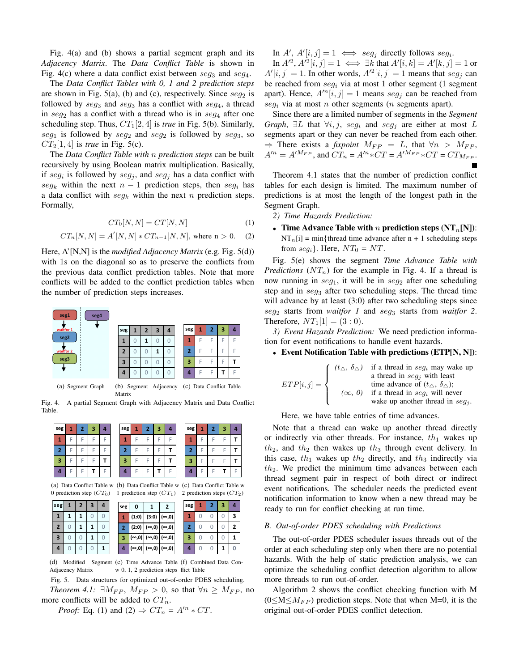Fig. 4(a) and (b) shows a partial segment graph and its *Adjacency Matrix*. The *Data Conflict Table* is shown in Fig. 4(c) where a data conflict exist between  $seg_3$  and  $seg_4$ .

The *Data Conflict Tables with 0, 1 and 2 prediction steps* are shown in Fig. 5(a), (b) and (c), respectively. Since  $seg_2$  is followed by  $seg_3$  and  $seg_3$  has a conflict with  $seg_4$ , a thread in  $seg_2$  has a conflict with a thread who is in  $seg_4$  after one scheduling step. Thus,  $CT_1[2, 4]$  is *true* in Fig. 5(b). Similarly,  $seg_1$  is followed by  $seg_2$  and  $seg_2$  is followed by  $seg_3$ , so  $CT_2[1, 4]$  is *true* in Fig. 5(c).

The *Data Conflict Table with* n *prediction steps* can be built recursively by using Boolean matrix multiplication. Basically, if  $seg_i$  is followed by  $seg_j$ , and  $seg_j$  has a data conflict with seg<sub>k</sub> within the next  $n - 1$  prediction steps, then seg<sub>i</sub> has a data conflict with  $seg_k$  within the next n prediction steps. Formally,

$$
CT_0[N,N] = CT[N,N]
$$
\n(1)

$$
CT_n[N, N] = A'[N, N] * CT_{n-1}[N, N], \text{ where } n > 0. \quad (2)
$$

Here, A'[N,N] is the *modified Adjacency Matrix* (e.g. Fig. 5(d)) with 1s on the diagonal so as to preserve the conflicts from the previous data conflict prediction tables. Note that more conflicts will be added to the conflict prediction tables when the number of prediction steps increases.



Fig. 4. A partial Segment Graph with Adjacency Matrix and Data Conflict Table.

| seg | , | B | л | seg |  | в | z | seg | 1 | 3 | 4 |
|-----|---|---|---|-----|--|---|---|-----|---|---|---|
| п.  |   |   |   |     |  |   | - |     |   |   |   |
| 2   |   |   |   | 2   |  |   |   | 2   |   |   |   |
| з   |   |   |   | з   |  |   |   | З   |   |   |   |
| Д   |   |   |   |     |  |   |   |     |   |   |   |
|     |   |   |   |     |  |   |   |     |   |   |   |

(a) Data Conflict Table w (b) Data Conflict Table w 0 prediction step  $(CT_0)$  1 prediction step  $(CT_1)$ 

| w (c) Data Conflict Table w |
|-----------------------------|
| 2 prediction steps $(CT_2)$ |

| seg            | 2 | 3 | Δ | seg | 0             |     |
|----------------|---|---|---|-----|---------------|-----|
|                |   |   |   |     | (1:0)         | (3: |
| $\overline{2}$ |   |   |   | 2   | (2:0)         | (∞, |
| 3              |   |   |   | з   | $(\infty, 0)$ | (∞, |
| 4              |   |   |   |     | (∞,0)         | (∞, |

|     |       | $\cdots$ $\cdots$ | .              |     |  | .<br>. . | $\sim$ |
|-----|-------|-------------------|----------------|-----|--|----------|--------|
| seg | 0     |                   | 2              | seg |  | з        |        |
|     | (1:0) | (3:0)             | $\infty, 0)$   |     |  |          | 3      |
|     | (2:0) | '∞,0)  ,          | $\infty, 0)$   | 2   |  |          | 2      |
|     | (0,∞  | (∞,0)             | $\infty,0)$    | 3   |  |          |        |
|     | (0,∞  | (∞,0)             | $ (\infty,0) $ | 4   |  |          |        |

(d) Modified Segment (e) Time Advance Table (f) Combined Data Con-Adjacency Matrix w 0, 1, 2 prediction steps flict Table

Fig. 5. Data structures for optimized out-of-order PDES scheduling.

*Theorem 4.1:*  $\exists M_{FP}, M_{FP} > 0$ , so that  $\forall n \ge M_{FP}$ , no more conflicts will be added to  $CT_n$ .

*Proof:* Eq. (1) and (2)  $\Rightarrow CT_n = A'^n * CT$ .

In A',  $A'[i, j] = 1 \iff seg_j$  directly follows  $seg_i$ .

In  $A'^2$ ,  $A'^2[i, j] = 1 \iff \exists k$  that  $A'[i, k] = A'[k, j] = 1$  or  $A'[i, j] = 1$ . In other words,  $A'^{2}[i, j] = 1$  means that  $seg_j$  can be reached from  $seg_i$  via at most 1 other segment (1 segment apart). Hence,  $A^{\prime n}[i, j] = 1$  means  $seg_j$  can be reached from  $seq_i$  via at most n other segments (n segments apart).

Since there are a limited number of segments in the *Segment Graph*,  $\exists L$  that  $\forall i, j$ , seg<sub>i</sub> and seg<sub>i</sub> are either at most L segments apart or they can never be reached from each other.  $\Rightarrow$  There exists a *fixpoint*  $M_{FP} = L$ , that  $\forall n > M_{FP}$ ,  $A'^n = A'^{M_{FP}}$ , and  $CT_n = A'^n * CT = A'^{M_{FP}} * CT = CT_{M_{FP}}$ .

Theorem 4.1 states that the number of prediction conflict tables for each design is limited. The maximum number of predictions is at most the length of the longest path in the Segment Graph.

*2) Time Hazards Prediction:*

• **Time Advance Table with** n **prediction steps**  $(NT_n[N])$ :  $NT_n[i] = min{$ thread time advance after n + 1 scheduling steps from  $seg_i$ . Here,  $NT_0 = NT$ .

Fig. 5(e) shows the segment *Time Advance Table with Predictions*  $(NT_n)$  for the example in Fig. 4. If a thread is now running in  $seg_1$ , it will be in  $seg_2$  after one scheduling step and in  $seg_3$  after two scheduling steps. The thread time will advance by at least (3:0) after two scheduling steps since seg<sup>2</sup> starts from *waitfor 1* and seg<sup>3</sup> starts from *waitfor 2*. Therefore,  $NT_1[1] = (3:0)$ .

*3) Event Hazards Prediction:* We need prediction information for event notifications to handle event hazards.

### • **Event Notification Table with predictions (ETP[N, N])**:

|                       |               | $\int (t_{\Delta}, \delta_{\Delta})$ if a thread in seg <sub>i</sub> may wake up |
|-----------------------|---------------|----------------------------------------------------------------------------------|
|                       |               | a thread in $seq_i$ with least                                                   |
| $ETP[i, j] = \left\{$ |               | time advance of $(t_{\wedge}, \delta_{\wedge})$ ;                                |
|                       | $(\infty, 0)$ | if a thread in $seq_i$ will never                                                |
|                       |               | wake up another thread in $seq_i$ .                                              |

Here, we have table entries of time advances.

Note that a thread can wake up another thread directly or indirectly via other threads. For instance,  $th_1$  wakes up  $th_2$ , and  $th_2$  then wakes up  $th_3$  through event delivery. In this case,  $th_1$  wakes up  $th_2$  directly, and  $th_3$  indirectly via  $th_2$ . We predict the minimum time advances between each thread segment pair in respect of both direct or indirect event notifications. The scheduler needs the predicted event notification information to know when a new thread may be ready to run for conflict checking at run time.

#### *B. Out-of-order PDES scheduling with Predictions*

The out-of-order PDES scheduler issues threads out of the order at each scheduling step only when there are no potential hazards. With the help of static prediction analysis, we can optimize the scheduling conflict detection algorithm to allow more threads to run out-of-order.

Algorithm 2 shows the conflict checking function with M  $(0 \le M \le M<sub>FP</sub>)$  prediction steps. Note that when M=0, it is the original out-of-order PDES conflict detection.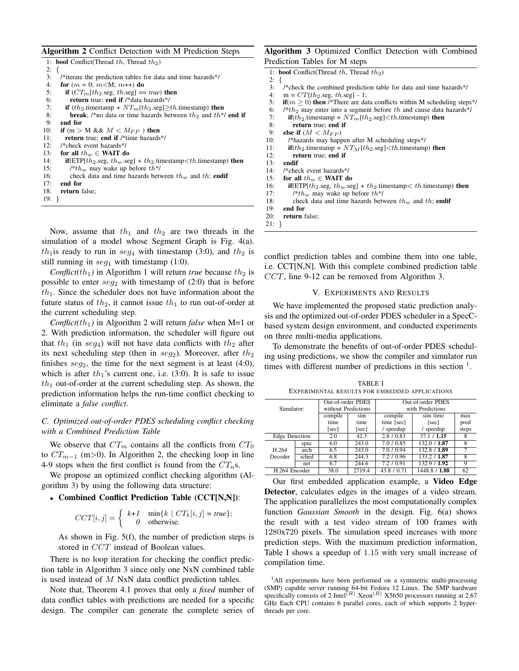**Algorithm 2** Conflict Detection with M Prediction Steps

|          | 1: <b>bool</b> Conflict(Thread th, Thread th <sub>2</sub> )                                                   |
|----------|---------------------------------------------------------------------------------------------------------------|
| $2: \{$  |                                                                                                               |
| 3:       | /*iterate the prediction tables for data and time hazards*/                                                   |
| 4:       | for $(m = 0; m < M; m++)$ do                                                                                  |
| 5:       | if $(CT_m[th_2 \text{ seg}, th \text{ seg}] == true)$ then                                                    |
| 6:       | return true; end if /*data hazards*/                                                                          |
| 7:       | <b>if</b> $(th_2$ timestamp + $NT_m[th_2 \text{.seg}]\geq th$ timestamp) <b>then</b>                          |
| 8:       | <b>break</b> ; /*no data or time hazards between $th_2$ and $th$ */ <b>end if</b>                             |
| 9:       | end for                                                                                                       |
| 10:      | if (m > M && $M < M_{FP}$ ) then                                                                              |
| 11:      | <b>return</b> true; end if /*time hazards*/                                                                   |
| 12:      | /*check event hazards*/                                                                                       |
| 13:      | for all $th_w \in \text{WAIT}$ do                                                                             |
| 14:      | <b>if</b> (ETP[th <sub>2</sub> seg, th <sub>w</sub> seg] + th <sub>2</sub> timestamp $\lt th$ timestamp) then |
| 15:      | /* $th_w$ may wake up before $th^*/$                                                                          |
| 16:      | check data and time hazards between $th_w$ and $th$ ; endif                                                   |
| 17:      | end for                                                                                                       |
| 18:      | <b>return</b> false:                                                                                          |
| $19: \}$ |                                                                                                               |
|          |                                                                                                               |

Now, assume that  $th_1$  and  $th_2$  are two threads in the simulation of a model whose Segment Graph is Fig. 4(a).  $th_1$  is ready to run in  $seg_4$  with timestamp (3:0), and  $th_2$  is still running in  $seg_1$  with timestamp (1:0).

*Conflict(th<sub>1</sub>)* in Algorithm 1 will return *true* because  $th_2$  is possible to enter  $seg_2$  with timestamp of (2:0) that is before  $th_1$ . Since the scheduler does not have information about the future status of  $th_2$ , it cannot issue  $th_1$  to run out-of-order at the current scheduling step.

*Conflict(th<sub>1</sub>)* in Algorithm 2 will return *false* when M=1 or 2. With prediction information, the scheduler will figure out that th<sub>1</sub> (in seg<sub>4</sub>) will not have data conflicts with th<sub>2</sub> after its next scheduling step (then in  $seg_2$ ). Moreover, after  $th_2$ finishes  $seg_2$ , the time for the next segment is at least (4:0), which is after  $th_1$ 's current one, i.e. (3:0). It is safe to issue  $th_1$  out-of-order at the current scheduling step. As shown, the prediction information helps the run-time conflict checking to eliminate a *false conflict*.

# *C. Optimized out-of-order PDES scheduling conflict checking with a Combined Prediction Table*

We observe that  $CT_m$  contains all the conflicts from  $CT_0$ to  $CT_{m-1}$  (m>0). In Algorithm 2, the checking loop in line 4-9 stops when the first conflict is found from the  $CT_n$ s.

We propose an optimized conflict checking algorithm (Algorithm 3) by using the following data structure:

## • **Combined Conflict Prediction Table (CCT[N,N])**:

$$
CCT[i,j] = \begin{cases} k+1 & \min\{k \mid CT_k[i,j] = true\}; \\ 0 & \text{otherwise.} \end{cases}
$$

As shown in Fig. 5(f), the number of prediction steps is stored in *CCT* instead of Boolean values.

There is no loop iteration for checking the conflict prediction table in Algorithm 3 since only one NxN combined table is used instead of M NxN data conflict prediction tables.

Note that, Theorem 4.1 proves that only a *fixed* number of data conflict tables with predictions are needed for a specific design. The compiler can generate the complete series of

## **Algorithm 3** Optimized Conflict Detection with Combined Prediction Tables for M steps

|     | 1: <b>bool</b> Conflict(Thread $th$ , Thread $th_2$ )                                                                    |
|-----|--------------------------------------------------------------------------------------------------------------------------|
| 2:  |                                                                                                                          |
| 3:  | /*check the combined prediction table for data and time hazards*/                                                        |
| 4:  | $m = CT[th_2 \text{.} \text{seg}, th. \text{.} \text{seg}] - 1;$                                                         |
| 5:  | $\mathbf{if}(m \geq 0)$ then /*There are data conflicts within M scheduling steps*/                                      |
| 6:  | $\mu$ /*th <sub>2</sub> may enter into a segment before th and cause data hazards*/                                      |
| 7:  | $\mathbf{if}(th_2.\text{timestamp} + NT_m[th_2.\text{seg}] < th.\text{timestamp})$ then                                  |
| 8:  | return true; end if                                                                                                      |
| 9:  | else if $(M < M_{FP})$                                                                                                   |
| 10: | /*hazards may happen after M scheduling steps*/                                                                          |
| 11: | $\mathbf{if}(th_2.\text{timestamp} + NT_\text{M}[th_2.\text{seg}] < th.\text{timestamp})$ then                           |
| 12: | return true; end if                                                                                                      |
| 13: | endif                                                                                                                    |
| 14: | /*check event hazards*/                                                                                                  |
| 15: | for all $th_w \in \text{WAIT}$ do                                                                                        |
| 16: | <b>if</b> (ETP[th <sub>2</sub> .seg, th <sub>w</sub> .seg] + th <sub>2</sub> .timestamp $\lt th$ .timestamp) <b>then</b> |
| 17: | /* $th_w$ may wake up before $th^*/$                                                                                     |
| 18: | check data and time hazards between $th_w$ and $th$ ; endif                                                              |
| 19: | end for                                                                                                                  |
| 20: | return false:                                                                                                            |
|     |                                                                                                                          |

21: }

conflict prediction tables and combine them into one table, i.e. CCT[N,N]. With this complete combined prediction table CCT, line 9-12 can be removed from Algorithm 3.

## V. EXPERIMENTS AND RESULTS

We have implemented the proposed static prediction analysis and the optimized out-of-order PDES scheduler in a SpecCbased system design environment, and conducted experiments on three multi-media applications.

To demonstrate the benefits of out-of-order PDES scheduling using predictions, we show the compiler and simulator run times with different number of predictions in this section  $<sup>1</sup>$ .</sup>

TABLE I EXPERIMENTAL RESULTS FOR EMBEDDED APPLICATIONS

|                |       | Out-of-order PDES   |        | Out-of-order PDES      |               |       |  |  |
|----------------|-------|---------------------|--------|------------------------|---------------|-------|--|--|
| Simulator:     |       | without Predictions |        | with Predictions       |               |       |  |  |
|                |       | compile             | sim    | compile                | sim time      | max   |  |  |
|                |       | time                | time   | time [sec]             | [sec]         | pred  |  |  |
|                |       | [sec]               | [sec]  | / speedup<br>/ speedup |               | steps |  |  |
| Edge Detection |       | 2.0                 | 42.3   | 2.8 / 0.83             | 37.1 / 1.15   |       |  |  |
|                | spec  | 6.0                 | 243.0  | 7.0 / 0.85             | 132.0 / 1.87  | 8     |  |  |
| H.264          | arch  | 6.5                 | 243.0  | 7.0 / 0.94             | 132.8 / 1.89  |       |  |  |
| Decoder        | sched | 6.8                 | 244.3  | 7.2 / 0.96             | 133.2 7 1.87  |       |  |  |
|                | net   | 6.7                 | 244.6  | 7.2 / 0.91             | 132.9 / 1.92  |       |  |  |
| H.264 Encoder  |       | 38.0                | 2719.4 | 43.8/                  | 1448.8 / 1.88 | 62    |  |  |

Our first embedded application example, a **Video Edge Detector**, calculates edges in the images of a video stream. The application parallelizes the most computationally complex function *Gaussian Smooth* in the design. Fig. 6(a) shows the result with a test video stream of 100 frames with 1280x720 pixels. The simulation speed increases with more prediction steps. With the maximum prediction information, Table I shows a speedup of 1.15 with very small increase of compilation time.

<sup>1</sup>All experiments have been performed on a symmetric multi-processing (SMP) capable server running 64-bit Fedora 12 Linux. The SMP hardware specifically consists of 2 Intel<sup>(R)</sup> Xeon<sup>(R)</sup> X5650 processors running at 2.67 GHz Each CPU contains 6 parallel cores, each of which supports 2 hyperthreads per core.